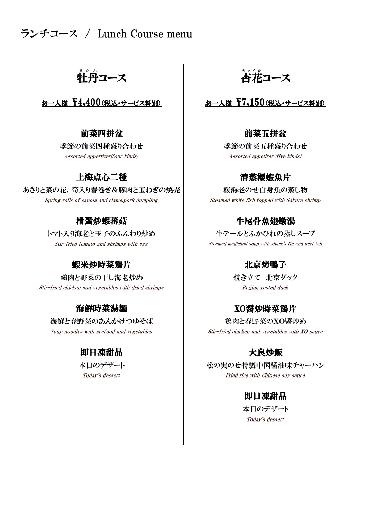ランチコース / Lunch Course menu

牲丹コース │ 杏花

### お一人様  $\frac{1}{2}$ 4,400(税込・サービス料別)  $\qquad$  お一人様  $\frac{1}{2}$ 7,150(税込・サービス料別)

季節の前菜四種盛り合わせ 季節の前菜五種盛り合わせ

### 上海点心二種

あさりと菜の花、筍入り春巻き&豚肉と玉ねぎの焼売 | わかながん 桜海老のせ白身魚の蒸し物 Spring rolls of canola and clame, pork dumpling Steamed white fish topped with Sakura shrimp

### 滑蛋炒蝦蕃菇

トマト入り海老と玉子のふんわり炒め 牛テールとふかひれの蒸しスープ

### 蝦米炒時菜鶏片 インファイン しんしゃ 北京烤鴨子

鶏肉と野菜の干し海老炒め しゅうしょう 焼き立て 北京ダック Stir-fried chicken and vegetables with dried shrimps and states are set of the Beijing rosted duck

### 海鮮時菜湯麺

海鮮と春野菜のあんかけつゆそば 鶏肉と春野菜のXO醬炒め

### 即日凍甜品

# <u>。</u><br>杏花コース

### 前菜四拼盆 前菜五拼盆

Assorted appertizer(four kinds) Assorted appetizer (five kinds)

### 清蒸櫻蝦魚片

### 牛尾骨魚翅燉湯

Stir-fried tomato and shrimps with egg states of the Steamed medicinal soup with shark's fin and beef tail

### XO醤炒時菜鶏片

Soup noodles with seafood and vegetables Stir-fried chicken and vegetables with XO sauce

### 大良炒飯

本日のデザート インファイン トランク 松の実のせ特製中国醤油味チャーハン

Today's dessert Fried rice with Chinese soy sauce

### 即日凍甜品

Today's dessert 本日のデザート